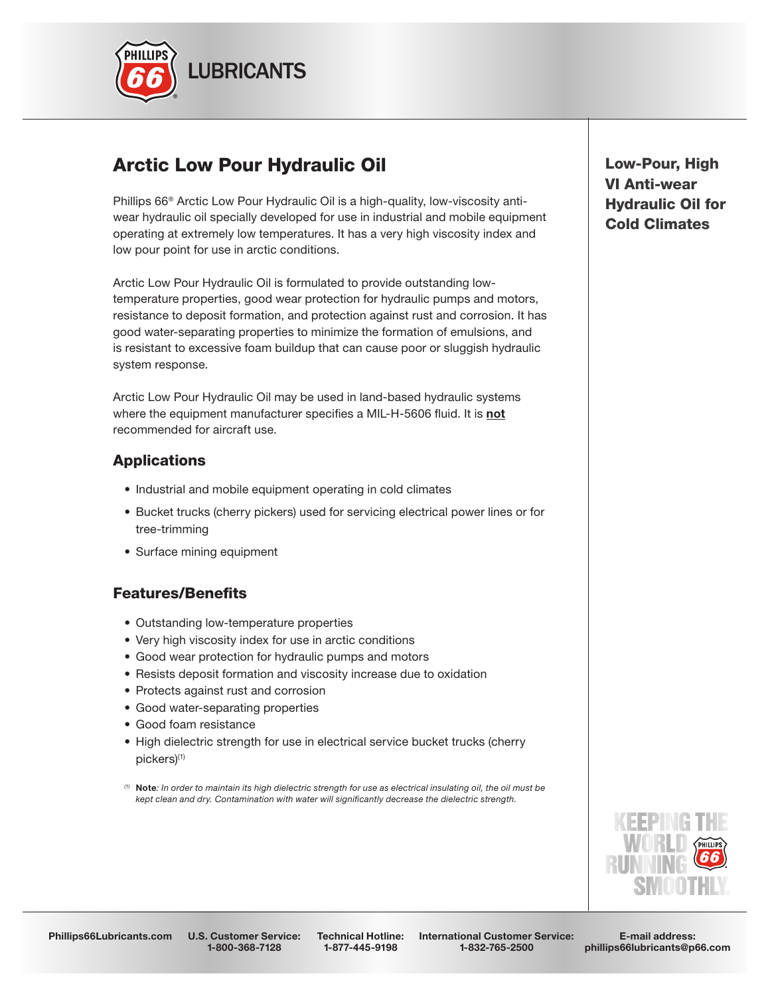

# Arctic Low Pour Hydraulic Oil

Phillips 66® Arctic Low Pour Hydraulic Oil is a high-quality, low-viscosity antiwear hydraulic oil specially developed for use in industrial and mobile equipment operating at extremely low temperatures. It has a very high viscosity index and low pour point for use in arctic conditions.

Arctic Low Pour Hydraulic Oil is formulated to provide outstanding lowtemperature properties, good wear protection for hydraulic pumps and motors, resistance to deposit formation, and protection against rust and corrosion. It has good water-separating properties to minimize the formation of emulsions, and is resistant to excessive foam buildup that can cause poor or sluggish hydraulic system response.

Arctic Low Pour Hydraulic Oil may be used in land-based hydraulic systems where the equipment manufacturer specifies a MIL-H-5606 fluid. It is not recommended for aircraft use.

### Applications

- Industrial and mobile equipment operating in cold climates
- Bucket trucks (cherry pickers) used for servicing electrical power lines or for tree-trimming
- Surface mining equipment

### Features/Benefits

- Outstanding low-temperature properties
- Very high viscosity index for use in arctic conditions
- Good wear protection for hydraulic pumps and motors
- Resists deposit formation and viscosity increase due to oxidation
- Protects against rust and corrosion
- Good water-separating properties
- Good foam resistance
- High dielectric strength for use in electrical service bucket trucks (cherry pickers)(1)
- *(1)* Note*: In order to maintain its high dielectric strength for use as electrical insulating oil, the oil must be kept clean and dry. Contamination with water will significantly decrease the dielectric strength.*

Low-Pour, High VI Anti-wear Hydraulic Oil for Cold Climates

Phillips66Lubricants.com U.S. Customer Service:

1-800-368-7128

Technical Hotline: 1-877-445-9198

International Customer Service: 1-832-765-2500

E-mail address: phillips66lubricants@p66.com